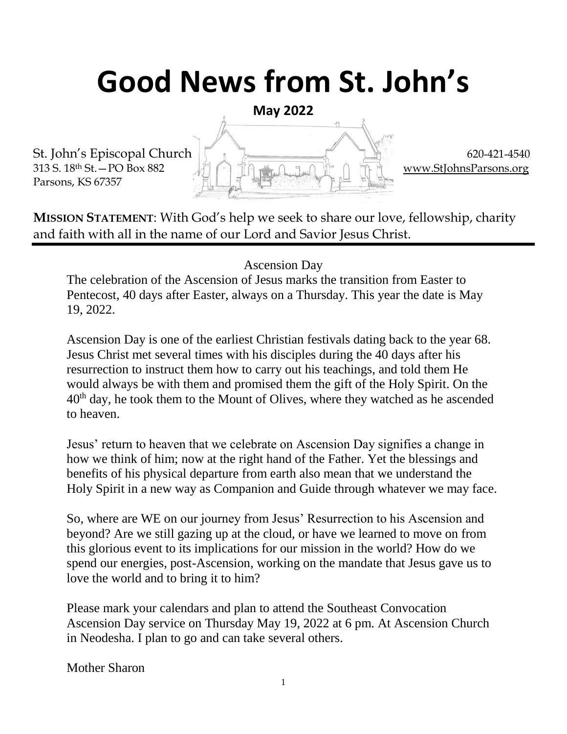# **Good News from St. John's**

**May 2022**

Parsons, KS 67357



**MISSION STATEMENT**: With God's help we seek to share our love, fellowship, charity and faith with all in the name of our Lord and Savior Jesus Christ.

Ascension Day

The celebration of the Ascension of Jesus marks the transition from Easter to Pentecost, 40 days after Easter, always on a Thursday. This year the date is May 19, 2022.

Ascension Day is one of the earliest Christian festivals dating back to the year 68. Jesus Christ met several times with his disciples during the 40 days after his resurrection to instruct them how to carry out his teachings, and told them He would always be with them and promised them the gift of the Holy Spirit. On the  $40<sup>th</sup>$  day, he took them to the Mount of Olives, where they watched as he ascended to heaven.

Jesus' return to heaven that we celebrate on Ascension Day signifies a change in how we think of him; now at the right hand of the Father. Yet the blessings and benefits of his physical departure from earth also mean that we understand the Holy Spirit in a new way as Companion and Guide through whatever we may face.

So, where are WE on our journey from Jesus' Resurrection to his Ascension and beyond? Are we still gazing up at the cloud, or have we learned to move on from this glorious event to its implications for our mission in the world? How do we spend our energies, post-Ascension, working on the mandate that Jesus gave us to love the world and to bring it to him?

Please mark your calendars and plan to attend the Southeast Convocation Ascension Day service on Thursday May 19, 2022 at 6 pm. At Ascension Church in Neodesha. I plan to go and can take several others.

Mother Sharon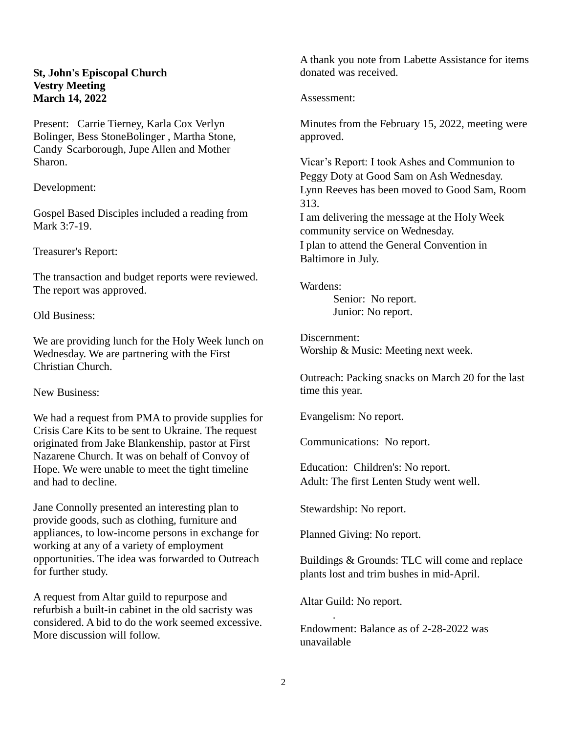#### **St, John's Episcopal Church Vestry Meeting March 14, 2022**

Present: Carrie Tierney, Karla Cox Verlyn Bolinger, Bess StoneBolinger , Martha Stone, Candy Scarborough, Jupe Allen and Mother Sharon.

Development:

Gospel Based Disciples included a reading from Mark 3:7-19.

Treasurer's Report:

The transaction and budget reports were reviewed. The report was approved.

Old Business:

We are providing lunch for the Holy Week lunch on Wednesday. We are partnering with the First Christian Church.

New Business:

We had a request from PMA to provide supplies for Crisis Care Kits to be sent to Ukraine. The request originated from Jake Blankenship, pastor at First Nazarene Church. It was on behalf of Convoy of Hope. We were unable to meet the tight timeline and had to decline.

Jane Connolly presented an interesting plan to provide goods, such as clothing, furniture and appliances, to low-income persons in exchange for working at any of a variety of employment opportunities. The idea was forwarded to Outreach for further study.

A request from Altar guild to repurpose and refurbish a built-in cabinet in the old sacristy was considered. A bid to do the work seemed excessive. More discussion will follow.

A thank you note from Labette Assistance for items donated was received.

Assessment:

Minutes from the February 15, 2022, meeting were approved.

Vicar's Report: I took Ashes and Communion to Peggy Doty at Good Sam on Ash Wednesday. Lynn Reeves has been moved to Good Sam, Room 313.

I am delivering the message at the Holy Week community service on Wednesday. I plan to attend the General Convention in Baltimore in July.

Wardens:

Senior: No report. Junior: No report.

Discernment: Worship & Music: Meeting next week.

Outreach: Packing snacks on March 20 for the last time this year.

Evangelism: No report.

Communications: No report.

Education: Children's: No report. Adult: The first Lenten Study went well.

Stewardship: No report.

Planned Giving: No report.

Buildings & Grounds: TLC will come and replace plants lost and trim bushes in mid-April.

Altar Guild: No report.

.

Endowment: Balance as of 2-28-2022 was unavailable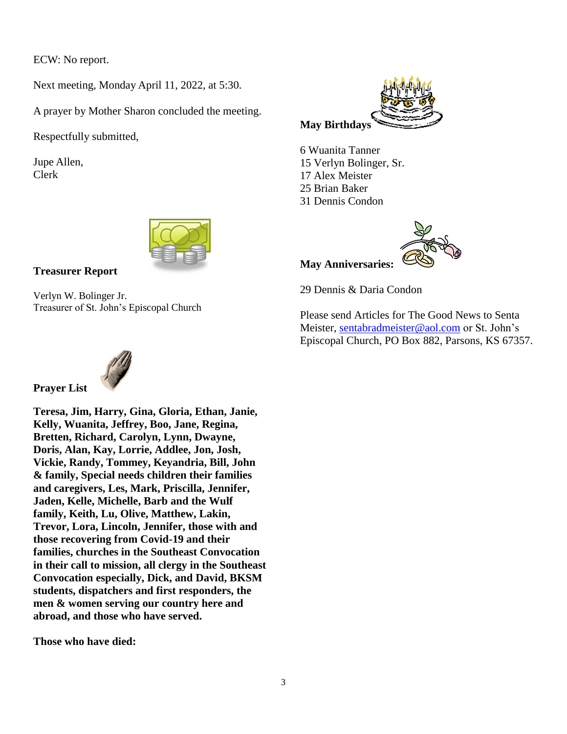ECW: No report.

Next meeting, Monday April 11, 2022, at 5:30.

A prayer by Mother Sharon concluded the meeting.

Respectfully submitted,

Jupe Allen, Clerk



#### **Treasurer Report**

Verlyn W. Bolinger Jr. Treasurer of St. John's Episcopal Church



6 Wuanita Tanner 15 Verlyn Bolinger, Sr. 17 Alex Meister 25 Brian Baker 31 Dennis Condon



**May Anniversaries:**

29 Dennis & Daria Condon

Please send Articles for The Good News to Senta Meister, [sentabradmeister@aol.com](mailto:sentabradmeister@aol.com) or St. John's Episcopal Church, PO Box 882, Parsons, KS 67357.



**Prayer List**

**Teresa, Jim, Harry, Gina, Gloria, Ethan, Janie, Kelly, Wuanita, Jeffrey, Boo, Jane, Regina, Bretten, Richard, Carolyn, Lynn, Dwayne, Doris, Alan, Kay, Lorrie, Addlee, Jon, Josh, Vickie, Randy, Tommey, Keyandria, Bill, John & family, Special needs children their families and caregivers, Les, Mark, Priscilla, Jennifer, Jaden, Kelle, Michelle, Barb and the Wulf family, Keith, Lu, Olive, Matthew, Lakin, Trevor, Lora, Lincoln, Jennifer, those with and those recovering from Covid-19 and their families, churches in the Southeast Convocation in their call to mission, all clergy in the Southeast Convocation especially, Dick, and David, BKSM students, dispatchers and first responders, the men & women serving our country here and abroad, and those who have served.**

**Those who have died:**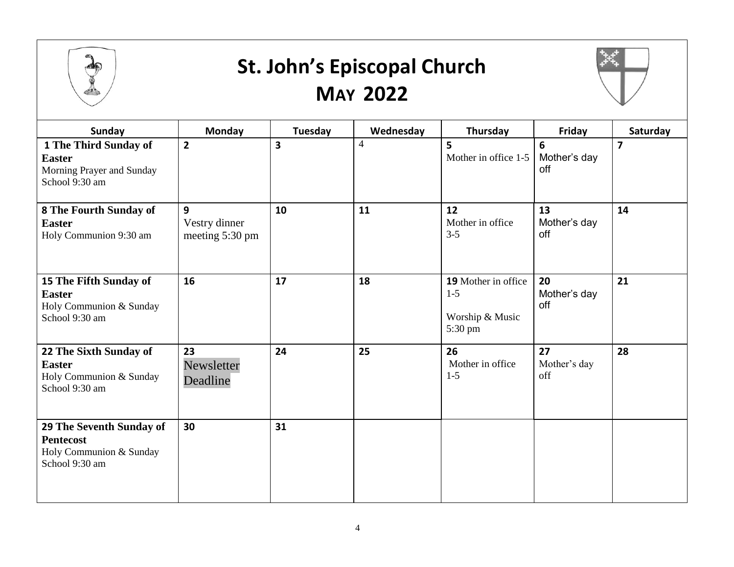

### **St. John's Episcopal Church MAY 2022**



| <b>Sunday</b>                                                                             | Monday                                | <b>Tuesday</b> | Wednesday      | Thursday                                                   | Friday                    | Saturday       |
|-------------------------------------------------------------------------------------------|---------------------------------------|----------------|----------------|------------------------------------------------------------|---------------------------|----------------|
| 1 The Third Sunday of<br><b>Easter</b><br>Morning Prayer and Sunday<br>School 9:30 am     | $\overline{2}$                        | 3              | $\overline{4}$ | 5<br>Mother in office 1-5                                  | 6<br>Mother's day<br>off  | $\overline{7}$ |
| 8 The Fourth Sunday of<br><b>Easter</b><br>Holy Communion 9:30 am                         | 9<br>Vestry dinner<br>meeting 5:30 pm | 10             | 11             | 12<br>Mother in office<br>$3 - 5$                          | 13<br>Mother's day<br>off | 14             |
| 15 The Fifth Sunday of<br><b>Easter</b><br>Holy Communion & Sunday<br>School 9:30 am      | 16                                    | 17             | 18             | 19 Mother in office<br>$1-5$<br>Worship & Music<br>5:30 pm | 20<br>Mother's day<br>off | 21             |
| 22 The Sixth Sunday of<br><b>Easter</b><br>Holy Communion & Sunday<br>School 9:30 am      | 23<br>Newsletter<br>Deadline          | 24             | 25             | 26<br>Mother in office<br>$1-5$                            | 27<br>Mother's day<br>off | 28             |
| 29 The Seventh Sunday of<br><b>Pentecost</b><br>Holy Communion & Sunday<br>School 9:30 am | 30                                    | 31             |                |                                                            |                           |                |